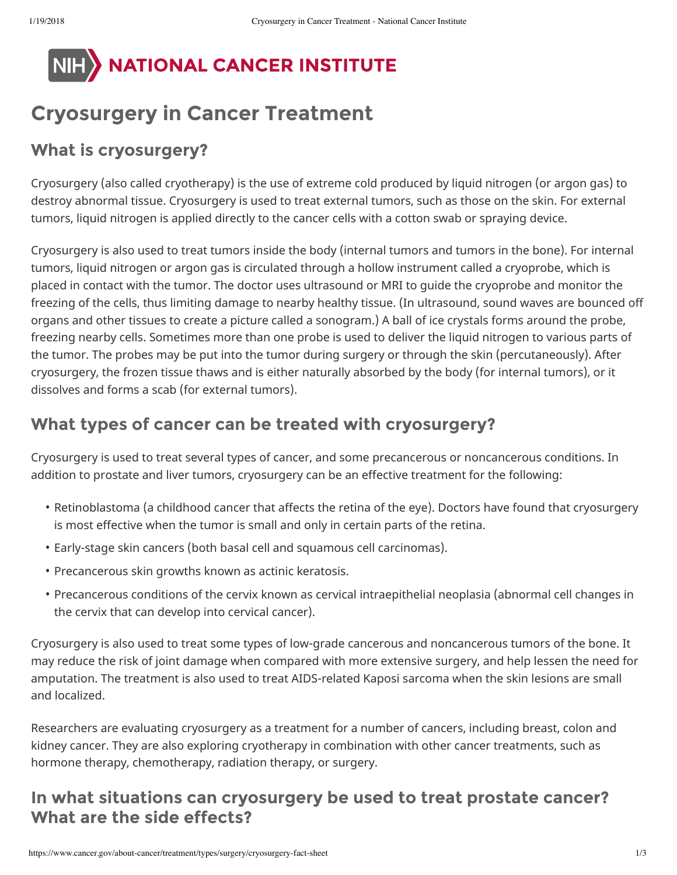# NIH ANTIONAL CANCER INSTITUTE

## **Cryosurgery in Cancer Treatment**

#### **What is cryosurgery?**

Cryosurgery (also called cryotherapy) is the use of extreme cold produced by liquid nitrogen (or argon gas) to destroy abnormal tissue. Cryosurgery is used to treat external tumors, such as those on the skin. For external tumors, liquid nitrogen is applied directly to the cancer cells with a cotton swab or spraying device.

Cryosurgery is also used to treat tumors inside the body (internal tumors and tumors in the bone). For internal tumors, liquid nitrogen or argon gas is circulated through a hollow instrument called a cryoprobe, which is placed in contact with the tumor. The doctor uses ultrasound or MRI to guide the cryoprobe and monitor the freezing of the cells, thus limiting damage to nearby healthy tissue. (In ultrasound, sound waves are bounced off organs and other tissues to create a picture called a sonogram.) A ball of ice crystals forms around the probe, freezing nearby cells. Sometimes more than one probe is used to deliver the liquid nitrogen to various parts of the tumor. The probes may be put into the tumor during surgery or through the skin (percutaneously). After cryosurgery, the frozen tissue thaws and is either naturally absorbed by the body (for internal tumors), or it dissolves and forms a scab (for external tumors).

#### **What types of cancer can be treated with cryosurgery?**

Cryosurgery is used to treat several types of cancer, and some precancerous or noncancerous conditions. In addition to prostate and liver tumors, cryosurgery can be an effective treatment for the following:

- Retinoblastoma (a childhood cancer that affects the retina of the eye). Doctors have found that cryosurgery is most effective when the tumor is small and only in certain parts of the retina.
- Early-stage skin cancers (both basal cell and squamous cell carcinomas). •
- Precancerous skin growths known as actinic keratosis.
- Precancerous conditions of the cervix known as cervical intraepithelial neoplasia (abnormal cell changes in •the cervix that can develop into cervical cancer).

Cryosurgery is also used to treat some types of low-grade cancerous and noncancerous tumors of the bone. It may reduce the risk of joint damage when compared with more extensive surgery, and help lessen the need for amputation. The treatment is also used to treat AIDS-related Kaposi sarcoma when the skin lesions are small and localized.

Researchers are evaluating cryosurgery as a treatment for a number of cancers, including breast, colon and kidney cancer. They are also exploring cryotherapy in combination with other cancer treatments, such as hormone therapy, chemotherapy, radiation therapy, or surgery.

#### **In what situations can cryosurgery be used to treat prostate cancer? What are the side effects?**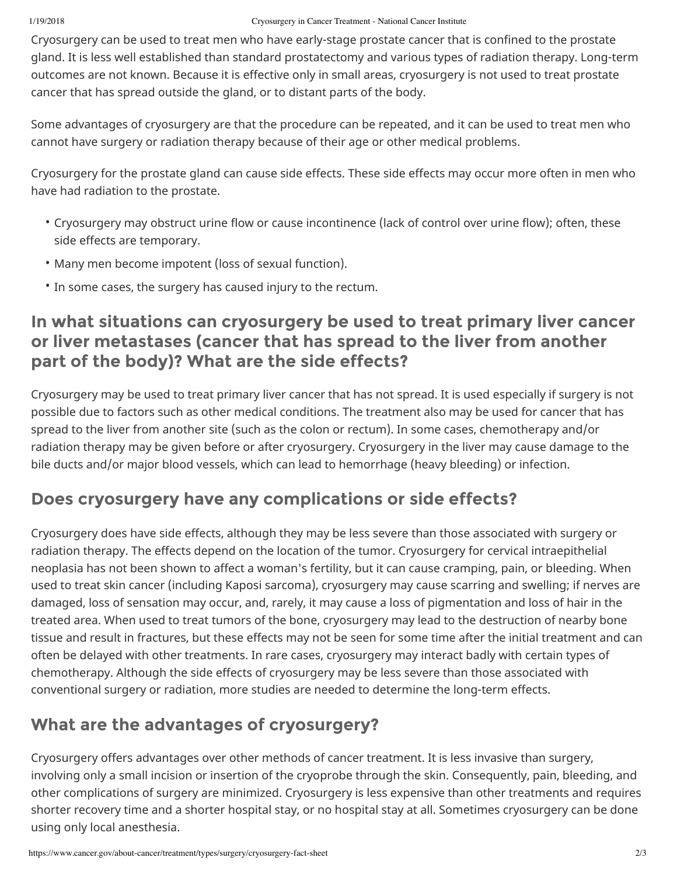#### 1/19/2018 Cryosurgery in Cancer Treatment - National Cancer Institute

Cryosurgery can be used to treat men who have early-stage prostate cancer that is confined to the prostate gland. It is less well established than standard prostatectomy and various types of radiation therapy. Long-term outcomes are not known. Because it is effective only in small areas, cryosurgery is not used to treat prostate cancer that has spread outside the gland, or to distant parts of the body.

Some advantages of cryosurgery are that the procedure can be repeated, and it can be used to treat men who cannot have surgery or radiation therapy because of their age or other medical problems.

Cryosurgery for the prostate gland can cause side effects. These side effects may occur more often in men who have had radiation to the prostate.

- Cryosurgery may obstruct urine flow or cause incontinence (lack of control over urine flow); often, these side effects are temporary.
- Many men become impotent (loss of sexual function).
- In some cases, the surgery has caused injury to the rectum.

#### **In what situations can cryosurgery be used to treat primary liver cancer or liver metastases (cancer that has spread to the liver from another part of the body)? What are the side effects?**

Cryosurgery may be used to treat primary liver cancer that has not spread. It is used especially if surgery is not possible due to factors such as other medical conditions. The treatment also may be used for cancer that has spread to the liver from another site (such as the colon or rectum). In some cases, chemotherapy and/or radiation therapy may be given before or after cryosurgery. Cryosurgery in the liver may cause damage to the bile ducts and/or major blood vessels, which can lead to hemorrhage (heavy bleeding) or infection.

#### **Does cryosurgery have any complications or side effects?**

Cryosurgery does have side effects, although they may be less severe than those associated with surgery or radiation therapy. The effects depend on the location of the tumor. Cryosurgery for cervical intraepithelial neoplasia has not been shown to affect a woman's fertility, but it can cause cramping, pain, or bleeding. When used to treat skin cancer (including Kaposi sarcoma), cryosurgery may cause scarring and swelling; if nerves are damaged, loss of sensation may occur, and, rarely, it may cause a loss of pigmentation and loss of hair in the treated area. When used to treat tumors of the bone, cryosurgery may lead to the destruction of nearby bone tissue and result in fractures, but these effects may not be seen for some time after the initial treatment and can often be delayed with other treatments. In rare cases, cryosurgery may interact badly with certain types of chemotherapy. Although the side effects of cryosurgery may be less severe than those associated with conventional surgery or radiation, more studies are needed to determine the long-term effects.

#### **What are the advantages of cryosurgery?**

Cryosurgery offers advantages over other methods of cancer treatment. It is less invasive than surgery, involving only a small incision or insertion of the cryoprobe through the skin. Consequently, pain, bleeding, and other complications of surgery are minimized. Cryosurgery is less expensive than other treatments and requires shorter recovery time and a shorter hospital stay, or no hospital stay at all. Sometimes cryosurgery can be done using only local anesthesia.